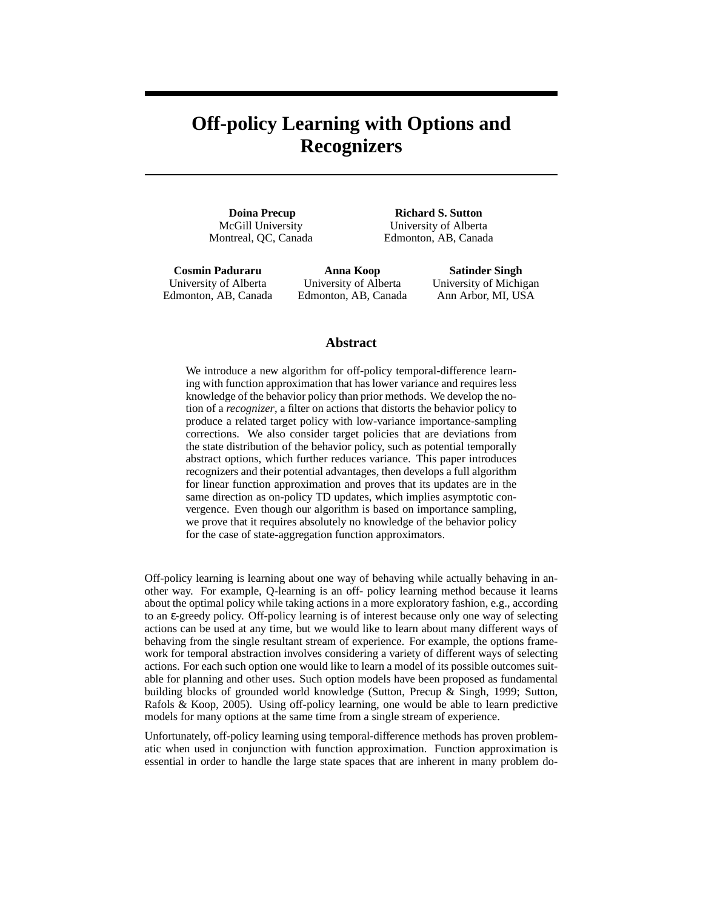# **Off-policy Learning with Options and Recognizers**

**Doina Precup** McGill University Montreal, QC, Canada

**Richard S. Sutton** University of Alberta Edmonton, AB, Canada

**Cosmin Paduraru** University of Alberta Edmonton, AB, Canada

**Anna Koop** University of Alberta Edmonton, AB, Canada

**Satinder Singh** University of Michigan Ann Arbor, MI, USA

### **Abstract**

We introduce a new algorithm for off-policy temporal-difference learning with function approximation that has lower variance and requires less knowledge of the behavior policy than prior methods. We develop the notion of a *recognizer*, a filter on actions that distorts the behavior policy to produce a related target policy with low-variance importance-sampling corrections. We also consider target policies that are deviations from the state distribution of the behavior policy, such as potential temporally abstract options, which further reduces variance. This paper introduces recognizers and their potential advantages, then develops a full algorithm for linear function approximation and proves that its updates are in the same direction as on-policy TD updates, which implies asymptotic convergence. Even though our algorithm is based on importance sampling, we prove that it requires absolutely no knowledge of the behavior policy for the case of state-aggregation function approximators.

Off-policy learning is learning about one way of behaving while actually behaving in another way. For example, Q-learning is an off- policy learning method because it learns about the optimal policy while taking actions in a more exploratory fashion, e.g., according to an ε-greedy policy. Off-policy learning is of interest because only one way of selecting actions can be used at any time, but we would like to learn about many different ways of behaving from the single resultant stream of experience. For example, the options framework for temporal abstraction involves considering a variety of different ways of selecting actions. For each such option one would like to learn a model of its possible outcomes suitable for planning and other uses. Such option models have been proposed as fundamental building blocks of grounded world knowledge (Sutton, Precup & Singh, 1999; Sutton, Rafols & Koop, 2005). Using off-policy learning, one would be able to learn predictive models for many options at the same time from a single stream of experience.

Unfortunately, off-policy learning using temporal-difference methods has proven problematic when used in conjunction with function approximation. Function approximation is essential in order to handle the large state spaces that are inherent in many problem do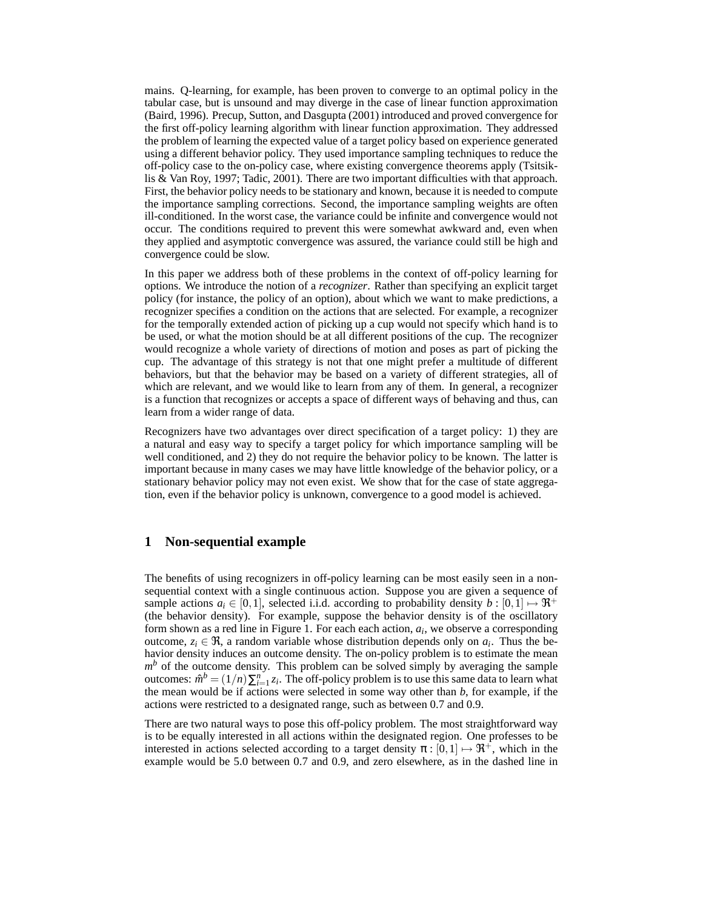mains. Q-learning, for example, has been proven to converge to an optimal policy in the tabular case, but is unsound and may diverge in the case of linear function approximation (Baird, 1996). Precup, Sutton, and Dasgupta (2001) introduced and proved convergence for the first off-policy learning algorithm with linear function approximation. They addressed the problem of learning the expected value of a target policy based on experience generated using a different behavior policy. They used importance sampling techniques to reduce the off-policy case to the on-policy case, where existing convergence theorems apply (Tsitsiklis & Van Roy, 1997; Tadic, 2001). There are two important difficulties with that approach. First, the behavior policy needs to be stationary and known, because it is needed to compute the importance sampling corrections. Second, the importance sampling weights are often ill-conditioned. In the worst case, the variance could be infinite and convergence would not occur. The conditions required to prevent this were somewhat awkward and, even when they applied and asymptotic convergence was assured, the variance could still be high and convergence could be slow.

In this paper we address both of these problems in the context of off-policy learning for options. We introduce the notion of a *recognizer*. Rather than specifying an explicit target policy (for instance, the policy of an option), about which we want to make predictions, a recognizer specifies a condition on the actions that are selected. For example, a recognizer for the temporally extended action of picking up a cup would not specify which hand is to be used, or what the motion should be at all different positions of the cup. The recognizer would recognize a whole variety of directions of motion and poses as part of picking the cup. The advantage of this strategy is not that one might prefer a multitude of different behaviors, but that the behavior may be based on a variety of different strategies, all of which are relevant, and we would like to learn from any of them. In general, a recognizer is a function that recognizes or accepts a space of different ways of behaving and thus, can learn from a wider range of data.

Recognizers have two advantages over direct specification of a target policy: 1) they are a natural and easy way to specify a target policy for which importance sampling will be well conditioned, and 2) they do not require the behavior policy to be known. The latter is important because in many cases we may have little knowledge of the behavior policy, or a stationary behavior policy may not even exist. We show that for the case of state aggregation, even if the behavior policy is unknown, convergence to a good model is achieved.

## **1 Non-sequential example**

The benefits of using recognizers in off-policy learning can be most easily seen in a nonsequential context with a single continuous action. Suppose you are given a sequence of sample actions  $a_i \in [0,1]$ , selected i.i.d. according to probability density  $b : [0,1] \mapsto \Re^+$ (the behavior density). For example, suppose the behavior density is of the oscillatory form shown as a red line in Figure 1. For each each action, *a<sup>i</sup>* , we observe a corresponding outcome,  $z_i \in \mathcal{R}$ , a random variable whose distribution depends only on  $a_i$ . Thus the behavior density induces an outcome density. The on-policy problem is to estimate the mean  $m<sup>b</sup>$  of the outcome density. This problem can be solved simply by averaging the sample outcomes:  $\hat{m}^b = (1/n) \sum_{i=1}^n z_i$ . The off-policy problem is to use this same data to learn what the mean would be if actions were selected in some way other than *b*, for example, if the actions were restricted to a designated range, such as between 0.7 and 0.9.

There are two natural ways to pose this off-policy problem. The most straightforward way is to be equally interested in all actions within the designated region. One professes to be interested in actions selected according to a target density  $\pi$  :  $[0,1] \mapsto \mathfrak{R}^+$ , which in the example would be 5.0 between 0.7 and 0.9, and zero elsewhere, as in the dashed line in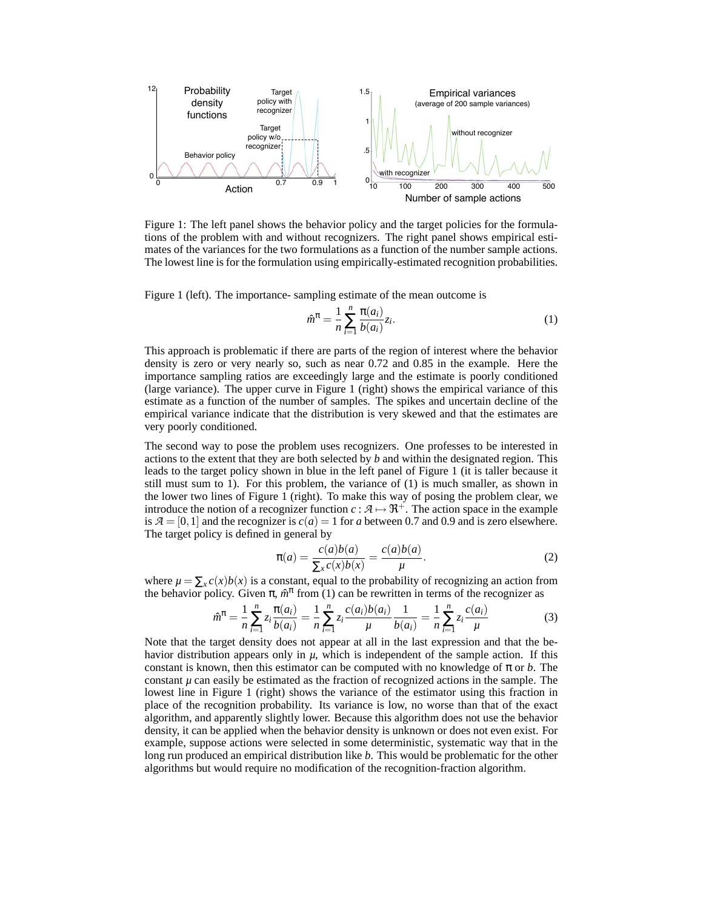

Figure 1: The left panel shows the behavior policy and the target policies for the formulations of the problem with and without recognizers. The right panel shows empirical estimates of the variances for the two formulations as a function of the number sample actions. The lowest line is for the formulation using empirically-estimated recognition probabilities.

Figure 1 (left). The importance- sampling estimate of the mean outcome is

$$
\hat{m}^{\pi} = \frac{1}{n} \sum_{i=1}^{n} \frac{\pi(a_i)}{b(a_i)} z_i.
$$
 (1)

This approach is problematic if there are parts of the region of interest where the behavior density is zero or very nearly so, such as near 0.72 and 0.85 in the example. Here the importance sampling ratios are exceedingly large and the estimate is poorly conditioned (large variance). The upper curve in Figure 1 (right) shows the empirical variance of this estimate as a function of the number of samples. The spikes and uncertain decline of the empirical variance indicate that the distribution is very skewed and that the estimates are very poorly conditioned.

The second way to pose the problem uses recognizers. One professes to be interested in actions to the extent that they are both selected by *b* and within the designated region. This leads to the target policy shown in blue in the left panel of Figure 1 (it is taller because it still must sum to 1). For this problem, the variance of (1) is much smaller, as shown in the lower two lines of Figure 1 (right). To make this way of posing the problem clear, we introduce the notion of a recognizer function  $c : \mathcal{A} \mapsto \mathbb{R}^+$ . The action space in the example is  $A = \begin{bmatrix} 0, 1 \end{bmatrix}$  and the recognizer is  $c(a) = 1$  for *a* between 0.7 and 0.9 and is zero elsewhere. The target policy is defined in general by

$$
\pi(a) = \frac{c(a)b(a)}{\sum_{x} c(x)b(x)} = \frac{c(a)b(a)}{\mu}.
$$
\n(2)

where  $\mu = \sum_{x} c(x) b(x)$  is a constant, equal to the probability of recognizing an action from the behavior policy. Given  $\pi$ ,  $\hat{m}^{\pi}$  from (1) can be rewritten in terms of the recognizer as

$$
\hat{m}^{\pi} = \frac{1}{n} \sum_{i=1}^{n} z_i \frac{\pi(a_i)}{b(a_i)} = \frac{1}{n} \sum_{i=1}^{n} z_i \frac{c(a_i)b(a_i)}{\mu} \frac{1}{b(a_i)} = \frac{1}{n} \sum_{i=1}^{n} z_i \frac{c(a_i)}{\mu}
$$
(3)

Note that the target density does not appear at all in the last expression and that the behavior distribution appears only in  $\mu$ , which is independent of the sample action. If this constant is known, then this estimator can be computed with no knowledge of  $\pi$  or *b*. The constant  $\mu$  can easily be estimated as the fraction of recognized actions in the sample. The lowest line in Figure 1 (right) shows the variance of the estimator using this fraction in place of the recognition probability. Its variance is low, no worse than that of the exact algorithm, and apparently slightly lower. Because this algorithm does not use the behavior density, it can be applied when the behavior density is unknown or does not even exist. For example, suppose actions were selected in some deterministic, systematic way that in the long run produced an empirical distribution like *b*. This would be problematic for the other algorithms but would require no modification of the recognition-fraction algorithm.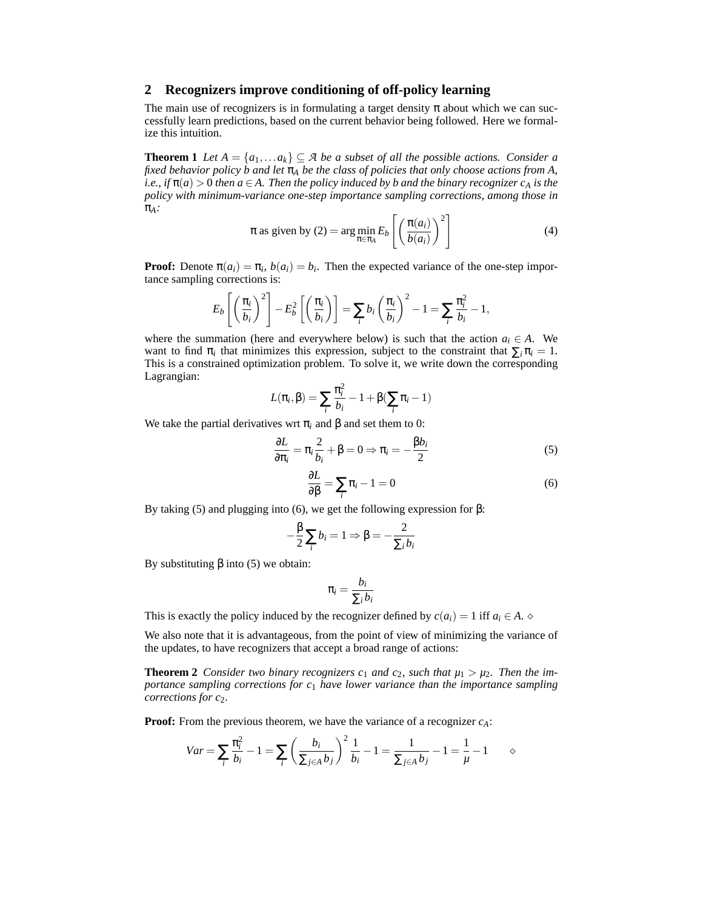# **2 Recognizers improve conditioning of off-policy learning**

The main use of recognizers is in formulating a target density  $\pi$  about which we can successfully learn predictions, based on the current behavior being followed. Here we formalize this intuition.

**Theorem 1** *Let*  $A = \{a_1, \ldots a_k\} \subseteq A$  *be a subset of all the possible actions. Consider a fixed behavior policy b and let* π*<sup>A</sup> be the class of policies that only choose actions from A, i.e., if*  $\pi(a) > 0$  *then*  $a \in A$ *. Then the policy induced by b and the binary recognizer*  $c_A$  *is the policy with minimum-variance one-step importance sampling corrections, among those in* π*A:*

$$
\pi \text{ as given by (2)} = \arg\min_{\pi \in \pi_A} E_b \left[ \left( \frac{\pi(a_i)}{b(a_i)} \right)^2 \right] \tag{4}
$$

**Proof:** Denote  $\pi(a_i) = \pi_i$ ,  $b(a_i) = b_i$ . Then the expected variance of the one-step importance sampling corrections is:

$$
E_b\left[\left(\frac{\pi_i}{b_i}\right)^2\right]-E_b^2\left[\left(\frac{\pi_i}{b_i}\right)\right]=\sum_i b_i\left(\frac{\pi_i}{b_i}\right)^2-1=\sum_i \frac{\pi_i^2}{b_i}-1,
$$

where the summation (here and everywhere below) is such that the action  $a_i \in A$ . We want to find  $\pi$ <sup>*i*</sup> that minimizes this expression, subject to the constraint that  $\sum_i \pi_i = 1$ . This is a constrained optimization problem. To solve it, we write down the corresponding Lagrangian:

$$
L(\pi_i, \beta) = \sum_i \frac{\pi_i^2}{b_i} - 1 + \beta(\sum_i \pi_i - 1)
$$

We take the partial derivatives wrt  $\pi_i$  and  $\beta$  and set them to 0:

$$
\frac{\partial L}{\partial \pi_i} = \pi_i \frac{2}{b_i} + \beta = 0 \Rightarrow \pi_i = -\frac{\beta b_i}{2}
$$
(5)  

$$
\frac{\partial L}{\partial \beta} = \sum_i \pi_i - 1 = 0
$$
(6)

By taking (5) and plugging into (6), we get the following expression for β:

$$
-\frac{\beta}{2}\sum_i b_i = 1 \Rightarrow \beta = -\frac{2}{\sum_i b_i}
$$

By substituting  $β$  into (5) we obtain:

$$
\pi_i = \frac{b_i}{\sum_i b_i}
$$

This is exactly the policy induced by the recognizer defined by  $c(a_i) = 1$  iff  $a_i \in A$ .

We also note that it is advantageous, from the point of view of minimizing the variance of the updates, to have recognizers that accept a broad range of actions:

**Theorem 2** *Consider two binary recognizers*  $c_1$  *and*  $c_2$ *, such that*  $\mu_1 > \mu_2$ *. Then the importance sampling corrections for c*<sup>1</sup> *have lower variance than the importance sampling corrections for c*2*.*

**Proof:** From the previous theorem, we have the variance of a recognizer *cA*:

$$
Var = \sum_{i} \frac{\pi_i^2}{b_i} - 1 = \sum_{i} \left(\frac{b_i}{\sum_{j \in A} b_j}\right)^2 \frac{1}{b_i} - 1 = \frac{1}{\sum_{j \in A} b_j} - 1 = \frac{1}{\mu} - 1 \qquad \diamond
$$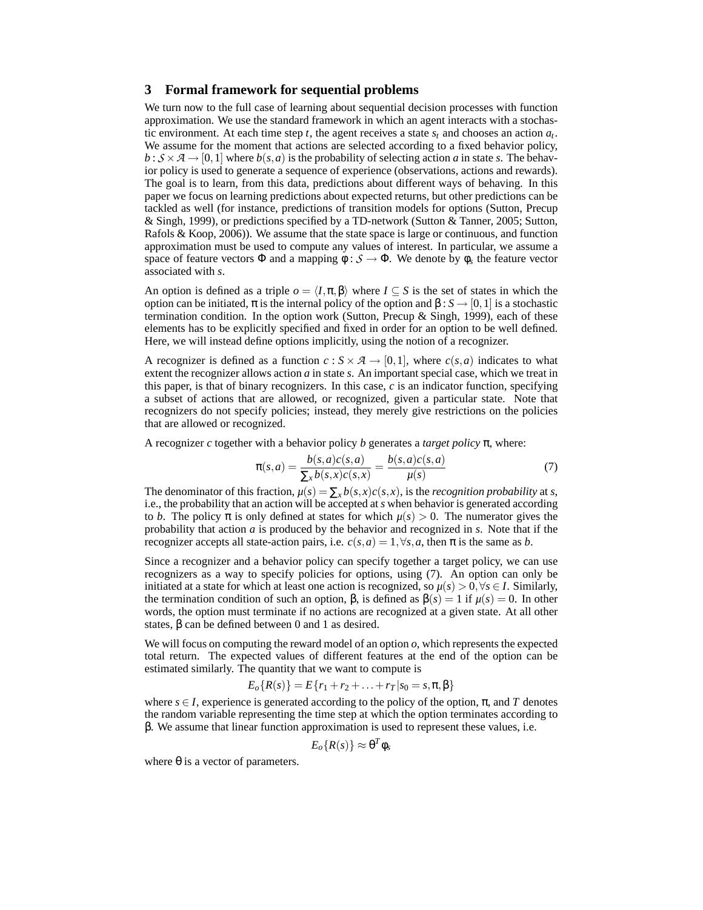## **3 Formal framework for sequential problems**

We turn now to the full case of learning about sequential decision processes with function approximation. We use the standard framework in which an agent interacts with a stochastic environment. At each time step  $t$ , the agent receives a state  $s_t$  and chooses an action  $a_t$ . We assume for the moment that actions are selected according to a fixed behavior policy,  $b: S \times A \rightarrow [0,1]$  where  $b(s,a)$  is the probability of selecting action *a* in state *s*. The behavior policy is used to generate a sequence of experience (observations, actions and rewards). The goal is to learn, from this data, predictions about different ways of behaving. In this paper we focus on learning predictions about expected returns, but other predictions can be tackled as well (for instance, predictions of transition models for options (Sutton, Precup & Singh, 1999), or predictions specified by a TD-network (Sutton & Tanner, 2005; Sutton, Rafols & Koop, 2006)). We assume that the state space is large or continuous, and function approximation must be used to compute any values of interest. In particular, we assume a space of feature vectors  $\Phi$  and a mapping  $\phi : \mathcal{S} \to \Phi$ . We denote by  $\phi_s$  the feature vector associated with *s*.

An option is defined as a triple  $o = \langle I, \pi, \beta \rangle$  where  $I \subseteq S$  is the set of states in which the option can be initiated, π is the internal policy of the option and β : *S* → [0,1] is a stochastic termination condition. In the option work (Sutton, Precup & Singh, 1999), each of these elements has to be explicitly specified and fixed in order for an option to be well defined. Here, we will instead define options implicitly, using the notion of a recognizer.

A recognizer is defined as a function  $c : S \times A \rightarrow [0,1]$ , where  $c(s,a)$  indicates to what extent the recognizer allows action *a* in state *s*. An important special case, which we treat in this paper, is that of binary recognizers. In this case, *c* is an indicator function, specifying a subset of actions that are allowed, or recognized, given a particular state. Note that recognizers do not specify policies; instead, they merely give restrictions on the policies that are allowed or recognized.

A recognizer *c* together with a behavior policy *b* generates a *target policy* π, where:

$$
\pi(s,a) = \frac{b(s,a)c(s,a)}{\sum_{x} b(s,x)c(s,x)} = \frac{b(s,a)c(s,a)}{\mu(s)}
$$
(7)

The denominator of this fraction,  $\mu(s) = \sum_{x} b(s, x) c(s, x)$ , is the *recognition probability* at *s*, i.e., the probability that an action will be accepted at*s* when behavior is generated according to *b*. The policy  $\pi$  is only defined at states for which  $\mu(s) > 0$ . The numerator gives the probability that action *a* is produced by the behavior and recognized in *s*. Note that if the recognizer accepts all state-action pairs, i.e.  $c(s, a) = 1, \forall s, a$ , then  $\pi$  is the same as *b*.

Since a recognizer and a behavior policy can specify together a target policy, we can use recognizers as a way to specify policies for options, using (7). An option can only be initiated at a state for which at least one action is recognized, so  $\mu(s) > 0, \forall s \in I$ . Similarly, the termination condition of such an option, β, is defined as  $β(s) = 1$  if  $μ(s) = 0$ . In other words, the option must terminate if no actions are recognized at a given state. At all other states,  $β$  can be defined between 0 and 1 as desired.

We will focus on computing the reward model of an option  $o$ , which represents the expected total return. The expected values of different features at the end of the option can be estimated similarly. The quantity that we want to compute is

$$
E_o\{R(s)\} = E\{r_1 + r_2 + \ldots + r_T | s_0 = s, \pi, \beta\}
$$

where  $s \in I$ , experience is generated according to the policy of the option,  $\pi$ , and  $T$  denotes the random variable representing the time step at which the option terminates according to β. We assume that linear function approximation is used to represent these values, i.e.

$$
E_o\{R(s)\}\approx \theta^T\phi_s
$$

where  $\theta$  is a vector of parameters.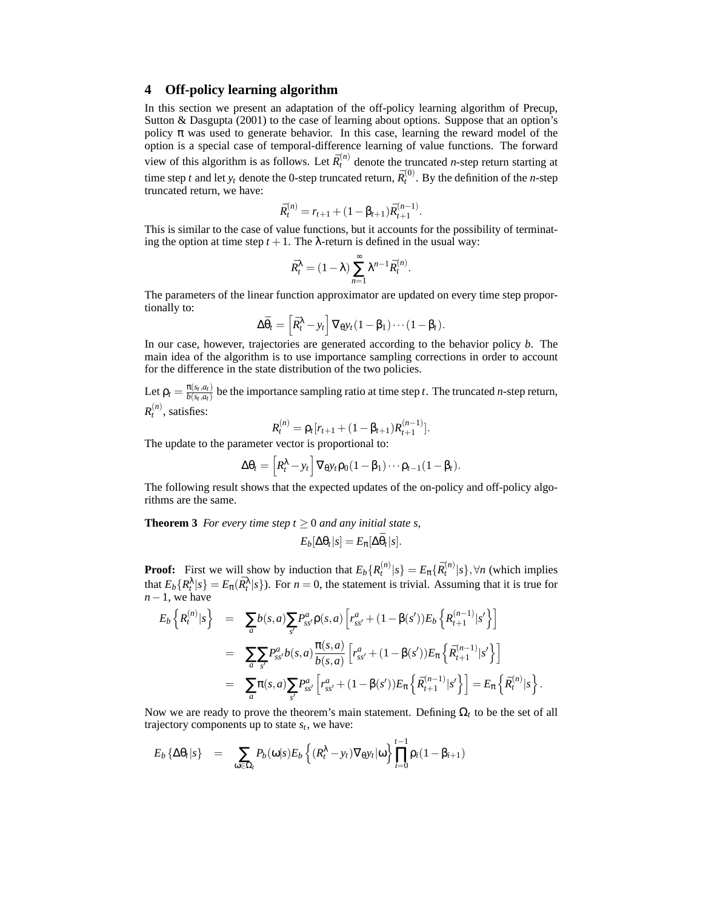# **4 Off-policy learning algorithm**

In this section we present an adaptation of the off-policy learning algorithm of Precup, Sutton & Dasgupta (2001) to the case of learning about options. Suppose that an option's policy  $\pi$  was used to generate behavior. In this case, learning the reward model of the option is a special case of temporal-difference learning of value functions. The forward view of this algorithm is as follows. Let  $\bar{R}^{(n)}_t$  denote the truncated *n*-step return starting at time step *t* and let  $y_t$  denote the 0-step truncated return,  $\bar{R}_t^{(0)}$ . By the definition of the *n*-step truncated return, we have:

$$
\bar{R}_{t}^{(n)} = r_{t+1} + (1 - \beta_{t+1})\bar{R}_{t+1}^{(n-1)}.
$$

This is similar to the case of value functions, but it accounts for the possibility of terminating the option at time step  $t + 1$ . The  $\lambda$ -return is defined in the usual way:

$$
\bar{R}_t^{\lambda} = (1 - \lambda) \sum_{n=1}^{\infty} \lambda^{n-1} \bar{R}_t^{(n)}.
$$

The parameters of the linear function approximator are updated on every time step proportionally to:

$$
\Delta \bar{\theta}_t = \left[ \bar{R}_t^{\lambda} - y_t \right] \nabla_{\theta} y_t (1 - \beta_1) \cdots (1 - \beta_t).
$$

In our case, however, trajectories are generated according to the behavior policy *b*. The main idea of the algorithm is to use importance sampling corrections in order to account for the difference in the state distribution of the two policies.

Let  $\rho_t = \frac{\pi(s_t, a_t)}{h(s_t, a_t)}$  $\frac{h(S_t, a_t)}{b(S_t, a_t)}$  be the importance sampling ratio at time step *t*. The truncated *n*-step return,  $R_t^{(n)}$ , satisfies:

$$
R_t^{(n)} = \rho_t[r_{t+1} + (1 - \beta_{t+1})R_{t+1}^{(n-1)}].
$$

The update to the parameter vector is proportional to:

$$
\Delta \theta_t = \left[ R_t^{\lambda} - y_t \right] \nabla_{\theta} y_t \rho_0 (1 - \beta_1) \cdots \rho_{t-1} (1 - \beta_t).
$$

The following result shows that the expected updates of the on-policy and off-policy algorithms are the same.

**Theorem 3** *For every time step t*  $\geq 0$  *and any initial state s,* 

$$
E_b[\Delta \theta_t | s] = E_{\pi}[\Delta \bar{\theta}_t | s].
$$

**Proof:** First we will show by induction that  $E_b\{R_t^{(n)}|s\} = E_{\pi}\{\bar{R}_t^{(n)}|s\}, \forall n$  (which implies that  $E_b\{R_t^{\lambda}|s\} = E_{\pi}(\bar{R}_t^{\lambda}|s\})$ . For  $n = 0$ , the statement is trivial. Assuming that it is true for *n*−1, we have

$$
E_b\left\{R_t^{(n)}|s\right\} = \sum_a b(s,a) \sum_{s'} P_{ss'}^a \rho(s,a) \left[r_{ss'}^a + (1-\beta(s'))E_b\left\{R_{t+1}^{(n-1)}|s'\right\}\right]
$$
  

$$
= \sum_a \sum_{s'} P_{ss'}^a b(s,a) \frac{\pi(s,a)}{b(s,a)} \left[r_{ss'}^a + (1-\beta(s'))E_\pi\left\{\bar{R}_{t+1}^{(n-1)}|s'\right\}\right]
$$
  

$$
= \sum_a \pi(s,a) \sum_{s'} P_{ss'}^a \left[r_{ss'}^a + (1-\beta(s'))E_\pi\left\{\bar{R}_{t+1}^{(n-1)}|s'\right\}\right] = E_\pi\left\{\bar{R}_t^{(n)}|s\right\}.
$$

Now we are ready to prove the theorem's main statement. Defining  $\Omega_t$  to be the set of all trajectory components up to state  $s_t$ , we have:

$$
E_b \{\Delta \theta_t | s\} = \sum_{\omega \in \Omega_t} P_b(\omega | s) E_b \left\{ (R_t^{\lambda} - y_t) \nabla_{\theta} y_t | \omega \right\} \prod_{i=0}^{t-1} \rho_i (1 - \beta_{i+1})
$$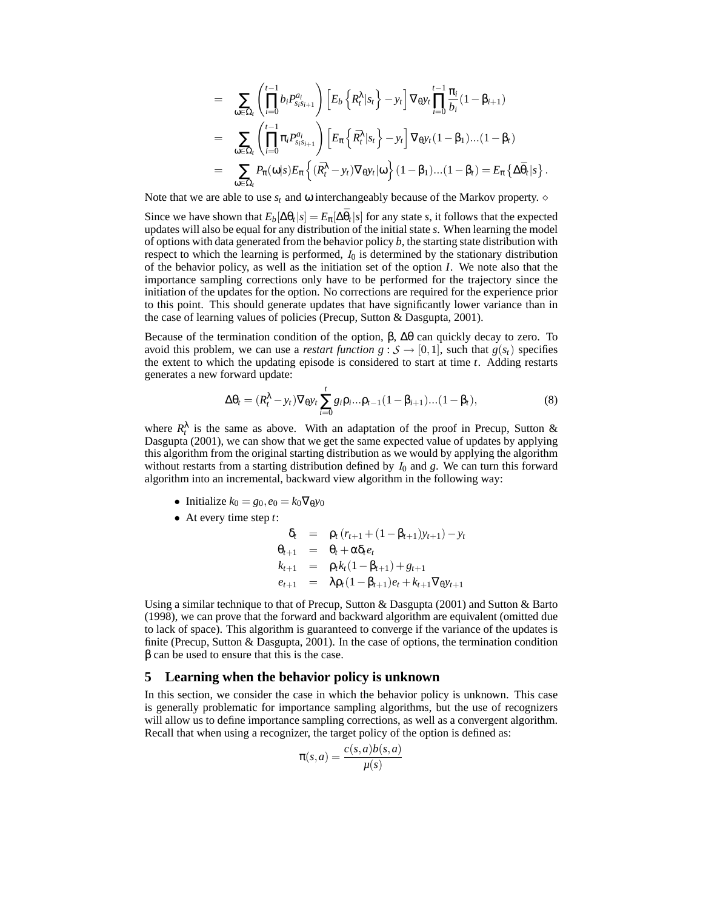$$
= \sum_{\omega \in \Omega_t} \left( \prod_{i=0}^{t-1} b_i P_{s_i s_{i+1}}^{\alpha_i} \right) \left[ E_b \left\{ R_t^{\lambda} | s_t \right\} - y_t \right] \nabla_{\theta} y_t \prod_{i=0}^{t-1} \frac{\pi_i}{b_i} (1 - \beta_{i+1})
$$
  
\n
$$
= \sum_{\omega \in \Omega_t} \left( \prod_{i=0}^{t-1} \pi_i P_{s_i s_{i+1}}^{\alpha_i} \right) \left[ E_{\pi} \left\{ \bar{R}_t^{\lambda} | s_t \right\} - y_t \right] \nabla_{\theta} y_t (1 - \beta_1) \dots (1 - \beta_t)
$$
  
\n
$$
= \sum_{\omega \in \Omega_t} P_{\pi}(\omega | s) E_{\pi} \left\{ (\bar{R}_t^{\lambda} - y_t) \nabla_{\theta} y_t | \omega \right\} (1 - \beta_1) \dots (1 - \beta_t) = E_{\pi} \left\{ \Delta \bar{\theta}_t | s \right\}.
$$

Note that we are able to use  $s_t$  and  $\omega$  interchangeably because of the Markov property.  $\diamond$ 

Since we have shown that  $E_b[\Delta\theta_t|s] = E_{\pi}[\Delta\bar{\theta}_t|s]$  for any state *s*, it follows that the expected updates will also be equal for any distribution of the initial state *s*. When learning the model of options with data generated from the behavior policy *b*, the starting state distribution with respect to which the learning is performed,  $I_0$  is determined by the stationary distribution of the behavior policy, as well as the initiation set of the option *I*. We note also that the importance sampling corrections only have to be performed for the trajectory since the initiation of the updates for the option. No corrections are required for the experience prior to this point. This should generate updates that have significantly lower variance than in the case of learning values of policies (Precup, Sutton & Dasgupta, 2001).

Because of the termination condition of the option,  $\beta$ ,  $\Delta\theta$  can quickly decay to zero. To avoid this problem, we can use a *restart function*  $g : S \rightarrow [0,1]$ , such that  $g(s_t)$  specifies the extent to which the updating episode is considered to start at time *t*. Adding restarts generates a new forward update:

$$
\Delta\theta_t = (R_t^{\lambda} - y_t)\nabla_{\theta}y_t \sum_{i=0}^t g_i \rho_i \dots \rho_{t-1} (1 - \beta_{i+1}) \dots (1 - \beta_t),
$$
\n(8)

where  $R_t^{\lambda}$  is the same as above. With an adaptation of the proof in Precup, Sutton & Dasgupta (2001), we can show that we get the same expected value of updates by applying this algorithm from the original starting distribution as we would by applying the algorithm without restarts from a starting distribution defined by  $I_0$  and  $g$ . We can turn this forward algorithm into an incremental, backward view algorithm in the following way:

- Initialize  $k_0 = g_0, e_0 = k_0 \nabla_{\theta} y_0$
- At every time step *t*:

$$
\delta_t = \rho_t (r_{t+1} + (1 - \beta_{t+1})y_{t+1}) - y_t \n\theta_{t+1} = \theta_t + \alpha \delta_t e_t \nk_{t+1} = \rho_t k_t (1 - \beta_{t+1}) + g_{t+1} \ne_{t+1} = \lambda \rho_t (1 - \beta_{t+1}) e_t + k_{t+1} \nabla_{\theta} y_{t+1}
$$

Using a similar technique to that of Precup, Sutton & Dasgupta (2001) and Sutton & Barto (1998), we can prove that the forward and backward algorithm are equivalent (omitted due to lack of space). This algorithm is guaranteed to converge if the variance of the updates is finite (Precup, Sutton & Dasgupta, 2001). In the case of options, the termination condition β can be used to ensure that this is the case.

### **5 Learning when the behavior policy is unknown**

In this section, we consider the case in which the behavior policy is unknown. This case is generally problematic for importance sampling algorithms, but the use of recognizers will allow us to define importance sampling corrections, as well as a convergent algorithm. Recall that when using a recognizer, the target policy of the option is defined as:

$$
\pi(s,a) = \frac{c(s,a)b(s,a)}{\mu(s)}
$$